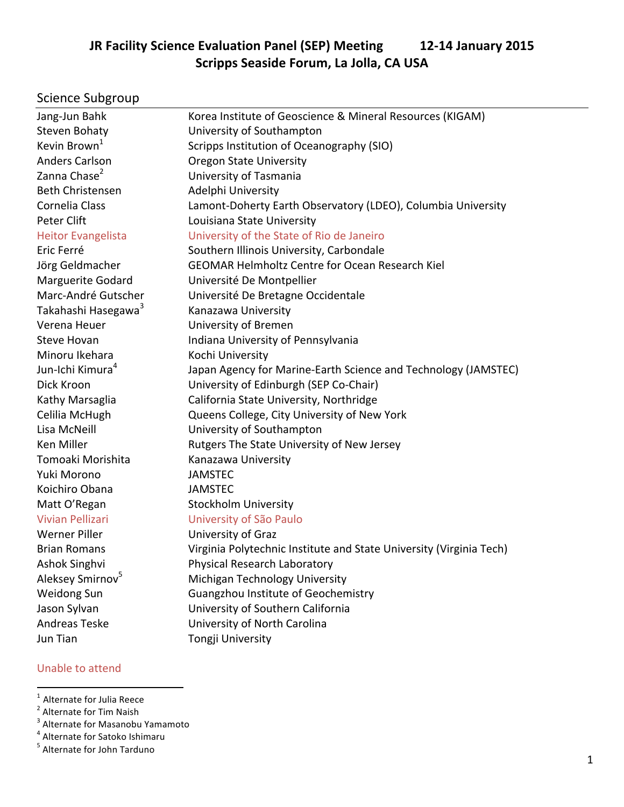## **JR Facility Science Evaluation Panel (SEP) Meeting 12-14 January 2015 Scripps Seaside Forum, La Jolla, CA USA**

# Science Subgroup

| Jang-Jun Bahk                   | Korea Institute of Geoscience & Mineral Resources (KIGAM)           |  |  |  |
|---------------------------------|---------------------------------------------------------------------|--|--|--|
| <b>Steven Bohaty</b>            | University of Southampton                                           |  |  |  |
| Kevin Brown <sup>1</sup>        | Scripps Institution of Oceanography (SIO)                           |  |  |  |
| <b>Anders Carlson</b>           | <b>Oregon State University</b>                                      |  |  |  |
| Zanna Chase <sup>2</sup>        | University of Tasmania                                              |  |  |  |
| <b>Beth Christensen</b>         | Adelphi University                                                  |  |  |  |
| Cornelia Class                  | Lamont-Doherty Earth Observatory (LDEO), Columbia University        |  |  |  |
| Peter Clift                     | Louisiana State University                                          |  |  |  |
| <b>Heitor Evangelista</b>       | University of the State of Rio de Janeiro                           |  |  |  |
| Eric Ferré                      | Southern Illinois University, Carbondale                            |  |  |  |
| Jörg Geldmacher                 | <b>GEOMAR Helmholtz Centre for Ocean Research Kiel</b>              |  |  |  |
| <b>Marguerite Godard</b>        | Université De Montpellier                                           |  |  |  |
| Marc-André Gutscher             | Université De Bretagne Occidentale                                  |  |  |  |
| Takahashi Hasegawa <sup>3</sup> | Kanazawa University                                                 |  |  |  |
| Verena Heuer                    | University of Bremen                                                |  |  |  |
| <b>Steve Hovan</b>              | Indiana University of Pennsylvania                                  |  |  |  |
| Minoru Ikehara                  | Kochi University                                                    |  |  |  |
| Jun-Ichi Kimura <sup>4</sup>    | Japan Agency for Marine-Earth Science and Technology (JAMSTEC)      |  |  |  |
| Dick Kroon                      | University of Edinburgh (SEP Co-Chair)                              |  |  |  |
| Kathy Marsaglia                 | California State University, Northridge                             |  |  |  |
| Celilia McHugh                  | Queens College, City University of New York                         |  |  |  |
| Lisa McNeill                    | University of Southampton                                           |  |  |  |
| Ken Miller                      | Rutgers The State University of New Jersey                          |  |  |  |
| Tomoaki Morishita               | Kanazawa University                                                 |  |  |  |
| Yuki Morono                     | <b>JAMSTEC</b>                                                      |  |  |  |
| Koichiro Obana                  | <b>JAMSTEC</b>                                                      |  |  |  |
| Matt O'Regan                    | <b>Stockholm University</b>                                         |  |  |  |
| <b>Vivian Pellizari</b>         | University of São Paulo                                             |  |  |  |
| <b>Werner Piller</b>            | University of Graz                                                  |  |  |  |
| <b>Brian Romans</b>             | Virginia Polytechnic Institute and State University (Virginia Tech) |  |  |  |
| Ashok Singhvi                   | Physical Research Laboratory                                        |  |  |  |
| Aleksey Smirnov <sup>5</sup>    | Michigan Technology University                                      |  |  |  |
| Weidong Sun                     | Guangzhou Institute of Geochemistry                                 |  |  |  |
| Jason Sylvan                    | University of Southern California                                   |  |  |  |
| <b>Andreas Teske</b>            | University of North Carolina                                        |  |  |  |
| Jun Tian                        | Tongji University                                                   |  |  |  |
|                                 |                                                                     |  |  |  |

#### Unable to attend

<sup>&</sup>lt;sup>1</sup> Alternate for Julia Reece<br><sup>2</sup> Alternate for Tim Naish

<sup>&</sup>lt;sup>3</sup> Alternate for Masanobu Yamamoto

 $4$  Alternate for Satoko Ishimaru

<sup>&</sup>lt;sup>5</sup> Alternate for John Tarduno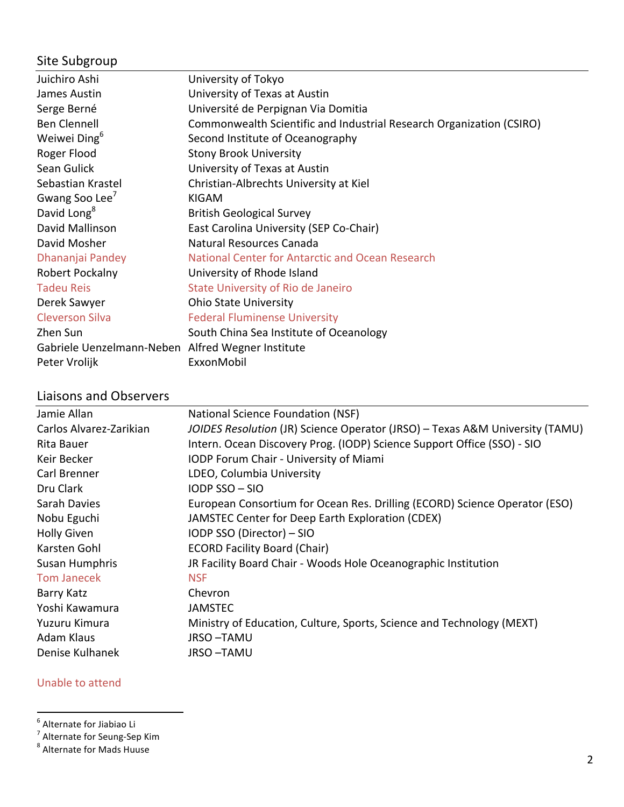# Site Subgroup

| Juichiro Ashi              | University of Tokyo                                                  |  |  |  |  |
|----------------------------|----------------------------------------------------------------------|--|--|--|--|
| James Austin               | University of Texas at Austin                                        |  |  |  |  |
| Serge Berné                | Université de Perpignan Via Domitia                                  |  |  |  |  |
| <b>Ben Clennell</b>        | Commonwealth Scientific and Industrial Research Organization (CSIRO) |  |  |  |  |
| Weiwei Ding <sup>6</sup>   | Second Institute of Oceanography                                     |  |  |  |  |
| Roger Flood                | <b>Stony Brook University</b>                                        |  |  |  |  |
| Sean Gulick                | University of Texas at Austin                                        |  |  |  |  |
| Sebastian Krastel          | Christian-Albrechts University at Kiel                               |  |  |  |  |
| Gwang Soo Lee <sup>7</sup> | <b>KIGAM</b>                                                         |  |  |  |  |
| David Long <sup>8</sup>    | <b>British Geological Survey</b>                                     |  |  |  |  |
| David Mallinson            | East Carolina University (SEP Co-Chair)                              |  |  |  |  |
| David Mosher               | Natural Resources Canada                                             |  |  |  |  |
| Dhananjai Pandey           | National Center for Antarctic and Ocean Research                     |  |  |  |  |
| Robert Pockalny            | University of Rhode Island                                           |  |  |  |  |
| <b>Tadeu Reis</b>          | <b>State University of Rio de Janeiro</b>                            |  |  |  |  |
| Derek Sawyer               | <b>Ohio State University</b>                                         |  |  |  |  |
| <b>Cleverson Silva</b>     | <b>Federal Fluminense University</b>                                 |  |  |  |  |
| Zhen Sun                   | South China Sea Institute of Oceanology                              |  |  |  |  |
| Gabriele Uenzelmann-Neben  | Alfred Wegner Institute                                              |  |  |  |  |
| Peter Vrolijk              | ExxonMobil                                                           |  |  |  |  |

## Liaisons and Observers

| Jamie Allan                                                                                       | National Science Foundation (NSF)                                            |  |  |  |
|---------------------------------------------------------------------------------------------------|------------------------------------------------------------------------------|--|--|--|
| Carlos Alvarez-Zarikian                                                                           | JOIDES Resolution (JR) Science Operator (JRSO) - Texas A&M University (TAMU) |  |  |  |
| Rita Bauer                                                                                        | Intern. Ocean Discovery Prog. (IODP) Science Support Office (SSO) - SIO      |  |  |  |
| Keir Becker                                                                                       | IODP Forum Chair - University of Miami                                       |  |  |  |
| Carl Brenner                                                                                      | LDEO, Columbia University                                                    |  |  |  |
| Dru Clark                                                                                         | <b>IODP SSO-SIO</b>                                                          |  |  |  |
| European Consortium for Ocean Res. Drilling (ECORD) Science Operator (ESO)<br><b>Sarah Davies</b> |                                                                              |  |  |  |
| Nobu Eguchi<br>JAMSTEC Center for Deep Earth Exploration (CDEX)                                   |                                                                              |  |  |  |
| <b>Holly Given</b>                                                                                | IODP SSO (Director) - SIO                                                    |  |  |  |
| Karsten Gohl                                                                                      | <b>ECORD Facility Board (Chair)</b>                                          |  |  |  |
| Susan Humphris                                                                                    | JR Facility Board Chair - Woods Hole Oceanographic Institution               |  |  |  |
| <b>Tom Janecek</b>                                                                                | <b>NSF</b>                                                                   |  |  |  |
| Barry Katz                                                                                        | Chevron                                                                      |  |  |  |
| Yoshi Kawamura                                                                                    | <b>JAMSTEC</b>                                                               |  |  |  |
| Yuzuru Kimura                                                                                     | Ministry of Education, Culture, Sports, Science and Technology (MEXT)        |  |  |  |
| Adam Klaus                                                                                        | <b>JRSO-TAMU</b>                                                             |  |  |  |
| Denise Kulhanek                                                                                   | JRSO-TAMU                                                                    |  |  |  |
|                                                                                                   |                                                                              |  |  |  |

#### Unable to attend

 <sup>6</sup> Alternate for Jiabiao Li

<sup>&</sup>lt;sup>7</sup> Alternate for Seung-Sep Kim<br><sup>8</sup> Alternate for Mads Huuse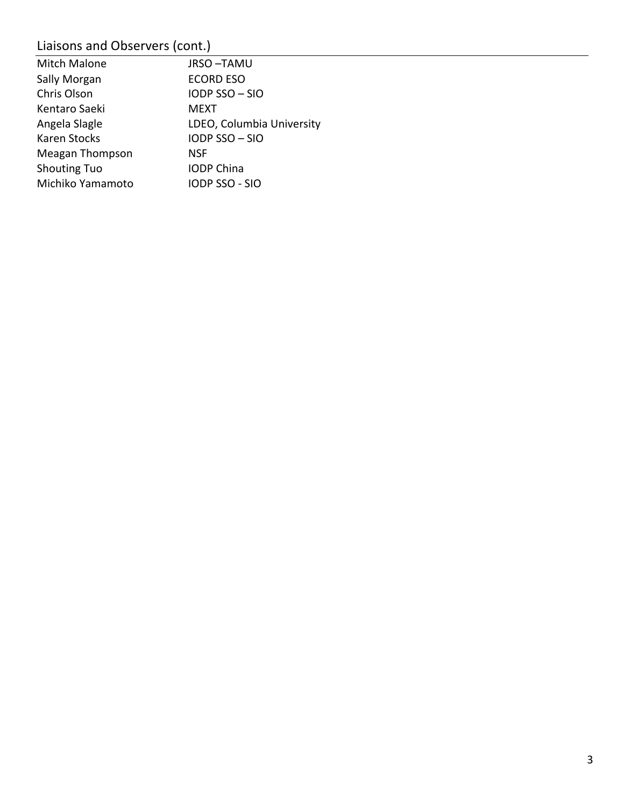# Liaisons and Observers (cont.)

| Mitch Malone        | <b>JRSO-TAMU</b>          |
|---------------------|---------------------------|
| Sally Morgan        | <b>ECORD ESO</b>          |
| Chris Olson         | IODP SSO-SIO              |
| Kentaro Saeki       | <b>MEXT</b>               |
| Angela Slagle       | LDEO, Columbia University |
| Karen Stocks        | IODP SSO-SIO              |
| Meagan Thompson     | <b>NSF</b>                |
| <b>Shouting Tuo</b> | <b>IODP China</b>         |
| Michiko Yamamoto    | <b>IODP SSO - SIO</b>     |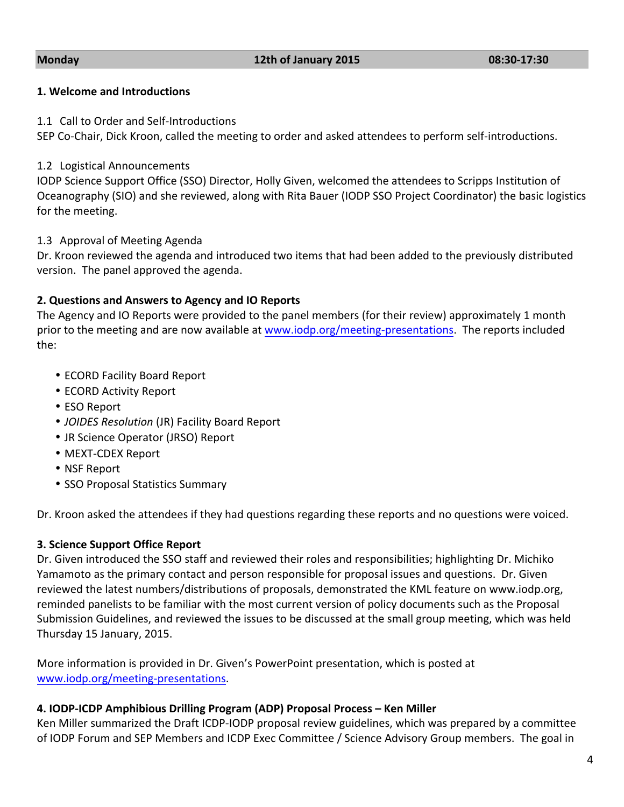#### **1. Welcome and Introductions**

#### 1.1 Call to Order and Self-Introductions

SEP Co-Chair, Dick Kroon, called the meeting to order and asked attendees to perform self-introductions.

#### 1.2 Logistical Announcements

IODP Science Support Office (SSO) Director, Holly Given, welcomed the attendees to Scripps Institution of Oceanography (SIO) and she reviewed, along with Rita Bauer (IODP SSO Project Coordinator) the basic logistics for the meeting.

#### 1.3 Approval of Meeting Agenda

Dr. Kroon reviewed the agenda and introduced two items that had been added to the previously distributed version. The panel approved the agenda.

#### **2. Questions and Answers to Agency and IO Reports**

The Agency and IO Reports were provided to the panel members (for their review) approximately 1 month prior to the meeting and are now available at www.iodp.org/meeting-presentations. The reports included the:

- ECORD Facility Board Report
- ECORD Activity Report
- ESO Report
- *JOIDES Resolution* (JR) Facility Board Report
- JR Science Operator (JRSO) Report
- MEXT-CDEX Report
- NSF Report
- SSO Proposal Statistics Summary

Dr. Kroon asked the attendees if they had questions regarding these reports and no questions were voiced.

#### **3. Science Support Office Report**

Dr. Given introduced the SSO staff and reviewed their roles and responsibilities; highlighting Dr. Michiko Yamamoto as the primary contact and person responsible for proposal issues and questions. Dr. Given reviewed the latest numbers/distributions of proposals, demonstrated the KML feature on www.iodp.org, reminded panelists to be familiar with the most current version of policy documents such as the Proposal Submission Guidelines, and reviewed the issues to be discussed at the small group meeting, which was held Thursday 15 January, 2015.

More information is provided in Dr. Given's PowerPoint presentation, which is posted at www.iodp.org/meeting-presentations.

#### **4. IODP-ICDP Amphibious Drilling Program (ADP) Proposal Process – Ken Miller**

Ken Miller summarized the Draft ICDP-IODP proposal review guidelines, which was prepared by a committee of IODP Forum and SEP Members and ICDP Exec Committee / Science Advisory Group members. The goal in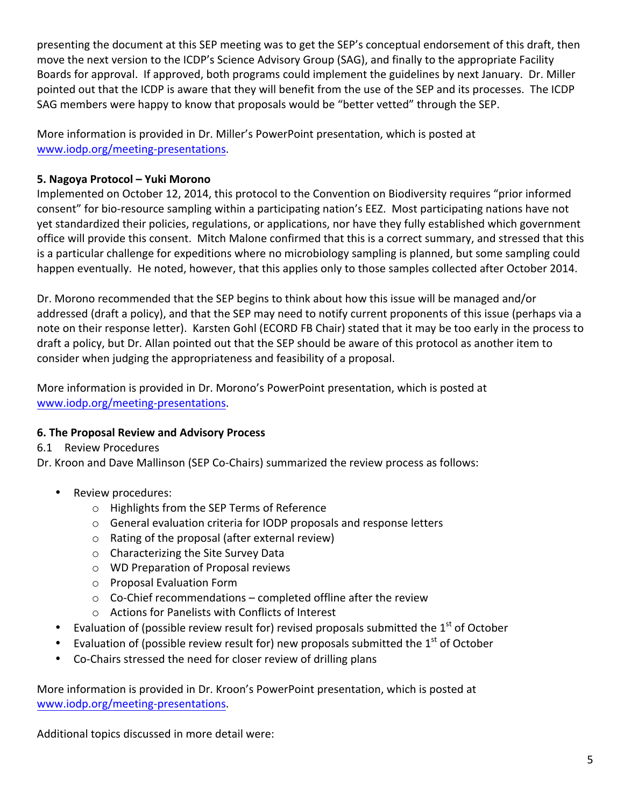presenting the document at this SEP meeting was to get the SEP's conceptual endorsement of this draft, then move the next version to the ICDP's Science Advisory Group (SAG), and finally to the appropriate Facility Boards for approval. If approved, both programs could implement the guidelines by next January. Dr. Miller pointed out that the ICDP is aware that they will benefit from the use of the SEP and its processes. The ICDP SAG members were happy to know that proposals would be "better vetted" through the SEP.

More information is provided in Dr. Miller's PowerPoint presentation, which is posted at www.iodp.org/meeting-presentations.

#### **5. Nagoya Protocol – Yuki Morono**

Implemented on October 12, 2014, this protocol to the Convention on Biodiversity requires "prior informed consent" for bio-resource sampling within a participating nation's EEZ. Most participating nations have not yet standardized their policies, regulations, or applications, nor have they fully established which government office will provide this consent. Mitch Malone confirmed that this is a correct summary, and stressed that this is a particular challenge for expeditions where no microbiology sampling is planned, but some sampling could happen eventually. He noted, however, that this applies only to those samples collected after October 2014.

Dr. Morono recommended that the SEP begins to think about how this issue will be managed and/or addressed (draft a policy), and that the SEP may need to notify current proponents of this issue (perhaps via a note on their response letter). Karsten Gohl (ECORD FB Chair) stated that it may be too early in the process to draft a policy, but Dr. Allan pointed out that the SEP should be aware of this protocol as another item to consider when judging the appropriateness and feasibility of a proposal.

More information is provided in Dr. Morono's PowerPoint presentation, which is posted at www.iodp.org/meeting-presentations.

#### **6. The Proposal Review and Advisory Process**

6.1 Review Procedures

Dr. Kroon and Dave Mallinson (SEP Co-Chairs) summarized the review process as follows:

- Review procedures:
	- $\circ$  Highlights from the SEP Terms of Reference
	- $\circ$  General evaluation criteria for IODP proposals and response letters
	- $\circ$  Rating of the proposal (after external review)
	- $\circ$  Characterizing the Site Survey Data
	- o WD Preparation of Proposal reviews
	- o Proposal Evaluation Form
	- $\circ$  Co-Chief recommendations completed offline after the review
	- o Actions for Panelists with Conflicts of Interest
- Evaluation of (possible review result for) revised proposals submitted the  $1<sup>st</sup>$  of October
- Evaluation of (possible review result for) new proposals submitted the  $1<sup>st</sup>$  of October
- Co-Chairs stressed the need for closer review of drilling plans

More information is provided in Dr. Kroon's PowerPoint presentation, which is posted at www.iodp.org/meeting-presentations.

Additional topics discussed in more detail were: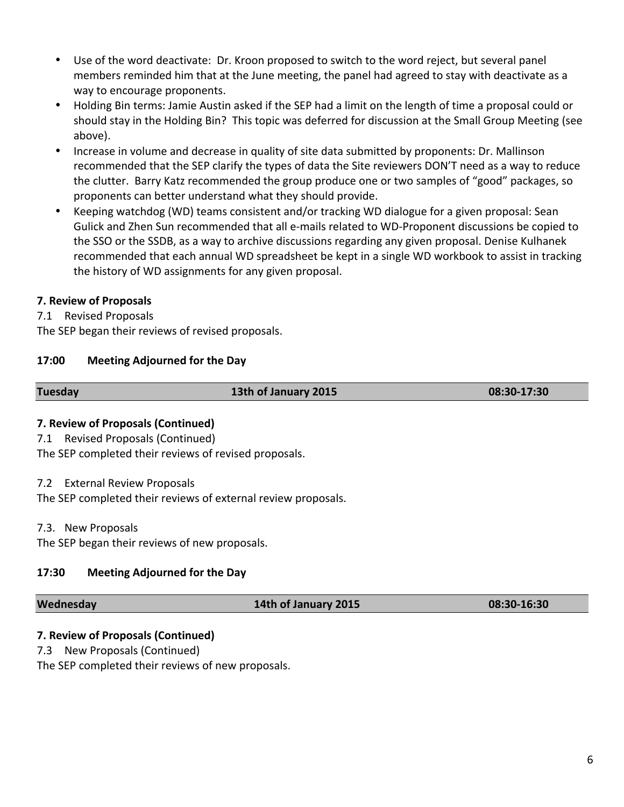- Use of the word deactivate: Dr. Kroon proposed to switch to the word reject, but several panel members reminded him that at the June meeting, the panel had agreed to stay with deactivate as a way to encourage proponents.
- Holding Bin terms: Jamie Austin asked if the SEP had a limit on the length of time a proposal could or should stay in the Holding Bin? This topic was deferred for discussion at the Small Group Meeting (see above).
- Increase in volume and decrease in quality of site data submitted by proponents: Dr. Mallinson recommended that the SEP clarify the types of data the Site reviewers DON'T need as a way to reduce the clutter. Barry Katz recommended the group produce one or two samples of "good" packages, so proponents can better understand what they should provide.
- Keeping watchdog (WD) teams consistent and/or tracking WD dialogue for a given proposal: Sean Gulick and Zhen Sun recommended that all e-mails related to WD-Proponent discussions be copied to the SSO or the SSDB, as a way to archive discussions regarding any given proposal. Denise Kulhanek recommended that each annual WD spreadsheet be kept in a single WD workbook to assist in tracking the history of WD assignments for any given proposal.

#### **7. Review of Proposals**

7.1 Revised Proposals

The SEP began their reviews of revised proposals.

#### **17:00 Meeting Adjourned for the Day**

**Tuesday 13th of January 2015 08:30-17:30** 

#### **7. Review of Proposals (Continued)**

7.1 Revised Proposals (Continued)

The SEP completed their reviews of revised proposals.

#### 7.2 External Review Proposals

The SEP completed their reviews of external review proposals.

#### 7.3. New Proposals

The SEP began their reviews of new proposals.

#### **17:30 Meeting Adjourned for the Day**

**Wednesday 14th of January 2015 08:30-16:30** 

#### **7. Review of Proposals (Continued)**

7.3 New Proposals (Continued)

The SEP completed their reviews of new proposals.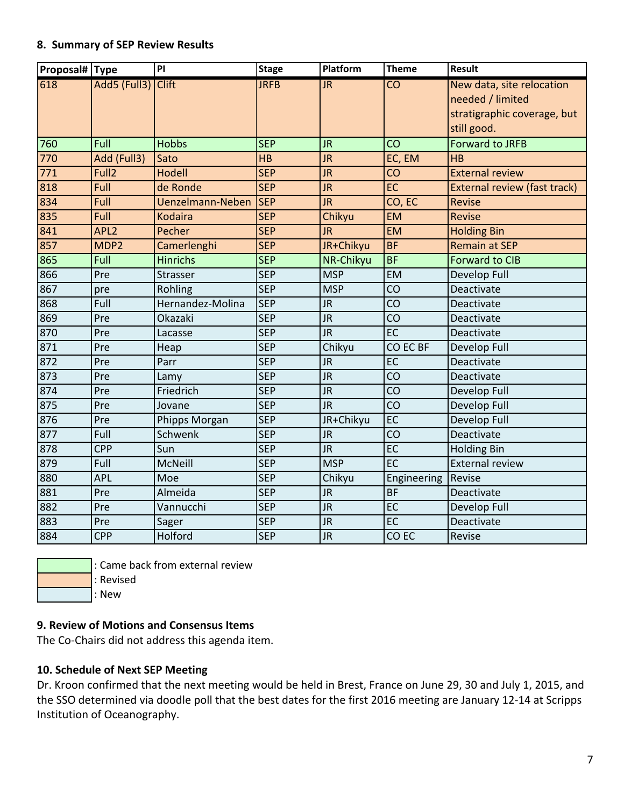#### **8. Summary of SEP Review Results**

| Proposal# Type |                    | PI                      | <b>Stage</b> | Platform   | <b>Theme</b>    | <b>Result</b>                              |
|----------------|--------------------|-------------------------|--------------|------------|-----------------|--------------------------------------------|
| 618            | Add5 (Full3) Clift |                         | <b>JRFB</b>  | <b>JR</b>  | $\overline{CO}$ | New data, site relocation                  |
|                |                    |                         |              |            |                 | needed / limited                           |
|                |                    |                         |              |            |                 | stratigraphic coverage, but<br>still good. |
| 760            | Full               | <b>Hobbs</b>            | <b>SEP</b>   | JR.        | CO              | <b>Forward to JRFB</b>                     |
| 770            | Add (Full3)        | Sato                    | <b>HB</b>    | <b>JR</b>  | EC, EM          | HB                                         |
| 771            | Full <sub>2</sub>  | Hodell                  | <b>SEP</b>   | <b>JR</b>  | CO              | <b>External review</b>                     |
| 818            | Full               | de Ronde                | <b>SEP</b>   | <b>JR</b>  | EC              | <b>External review (fast track)</b>        |
| 834            | Full               | <b>Uenzelmann-Neben</b> | <b>SEP</b>   | <b>JR</b>  | CO, EC          | <b>Revise</b>                              |
| 835            | Full               | <b>Kodaira</b>          | <b>SEP</b>   | Chikyu     | <b>EM</b>       | <b>Revise</b>                              |
| 841            | APL <sub>2</sub>   | Pecher                  | <b>SEP</b>   | <b>JR</b>  | <b>EM</b>       | <b>Holding Bin</b>                         |
| 857            | MDP <sub>2</sub>   | Camerlenghi             | <b>SEP</b>   | JR+Chikyu  | <b>BF</b>       | <b>Remain at SEP</b>                       |
| 865            | Full               | <b>Hinrichs</b>         | <b>SEP</b>   | NR-Chikyu  | <b>BF</b>       | <b>Forward to CIB</b>                      |
| 866            | Pre                | Strasser                | <b>SEP</b>   | <b>MSP</b> | EM              | Develop Full                               |
| 867            | pre                | Rohling                 | <b>SEP</b>   | <b>MSP</b> | CO              | Deactivate                                 |
| 868            | Full               | Hernandez-Molina        | <b>SEP</b>   | <b>JR</b>  | CO              | Deactivate                                 |
| 869            | Pre                | Okazaki                 | <b>SEP</b>   | <b>JR</b>  | CO              | Deactivate                                 |
| 870            | Pre                | Lacasse                 | <b>SEP</b>   | JR         | $E$ C           | Deactivate                                 |
| 871            | Pre                | Heap                    | <b>SEP</b>   | Chikyu     | CO EC BF        | Develop Full                               |
| 872            | Pre                | Parr                    | <b>SEP</b>   | <b>JR</b>  | EC              | Deactivate                                 |
| 873            | Pre                | Lamy                    | <b>SEP</b>   | JR         | CO              | Deactivate                                 |
| 874            | Pre                | Friedrich               | <b>SEP</b>   | JR         | CO              | Develop Full                               |
| 875            | Pre                | Jovane                  | <b>SEP</b>   | JR         | CO              | Develop Full                               |
| 876            | Pre                | Phipps Morgan           | <b>SEP</b>   | JR+Chikyu  | EC              | Develop Full                               |
| 877            | Full               | Schwenk                 | <b>SEP</b>   | JR         | CO              | Deactivate                                 |
| 878            | <b>CPP</b>         | Sun                     | <b>SEP</b>   | <b>JR</b>  | EC              | <b>Holding Bin</b>                         |
| 879            | Full               | McNeill                 | <b>SEP</b>   | <b>MSP</b> | $E$ C           | <b>External review</b>                     |
| 880            | <b>APL</b>         | Moe                     | <b>SEP</b>   | Chikyu     | Engineering     | Revise                                     |
| 881            | Pre                | Almeida                 | <b>SEP</b>   | <b>JR</b>  | <b>BF</b>       | Deactivate                                 |
| 882            | Pre                | Vannucchi               | <b>SEP</b>   | JR         | EC              | Develop Full                               |
| 883            | Pre                | Sager                   | <b>SEP</b>   | JR         | EC              | Deactivate                                 |
| 884            | <b>CPP</b>         | Holford                 | <b>SEP</b>   | JR         | CO EC           | Revise                                     |



: Came back from external review

: Revised

 $|:$  New

### **9. Review of Motions and Consensus Items**

The Co-Chairs did not address this agenda item.

### **10. Schedule of Next SEP Meeting**

Dr. Kroon confirmed that the next meeting would be held in Brest, France on June 29, 30 and July 1, 2015, and the SSO determined via doodle poll that the best dates for the first 2016 meeting are January 12-14 at Scripps Institution of Oceanography.